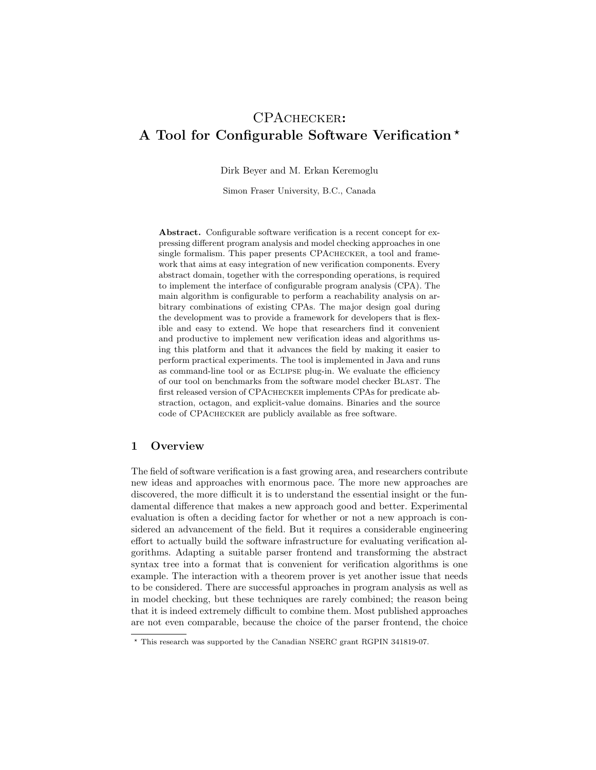# <span id="page-0-0"></span>CPACHECKER: A Tool for Configurable Software Verification<sup>\*</sup>

Dirk Beyer and M. Erkan Keremoglu

Simon Fraser University, B.C., Canada

Abstract. Configurable software verification is a recent concept for expressing different program analysis and model checking approaches in one single formalism. This paper presents CPACHECKER, a tool and framework that aims at easy integration of new verification components. Every abstract domain, together with the corresponding operations, is required to implement the interface of configurable program analysis (CPA). The main algorithm is configurable to perform a reachability analysis on arbitrary combinations of existing CPAs. The major design goal during the development was to provide a framework for developers that is flexible and easy to extend. We hope that researchers find it convenient and productive to implement new verification ideas and algorithms using this platform and that it advances the field by making it easier to perform practical experiments. The tool is implemented in Java and runs as command-line tool or as Eclipse plug-in. We evaluate the efficiency of our tool on benchmarks from the software model checker Blast. The first released version of CPACHECKER implements CPAs for predicate abstraction, octagon, and explicit-value domains. Binaries and the source code of CPAchecker are publicly available as free software.

## 1 Overview

The field of software verification is a fast growing area, and researchers contribute new ideas and approaches with enormous pace. The more new approaches are discovered, the more difficult it is to understand the essential insight or the fundamental difference that makes a new approach good and better. Experimental evaluation is often a deciding factor for whether or not a new approach is considered an advancement of the field. But it requires a considerable engineering effort to actually build the software infrastructure for evaluating verification algorithms. Adapting a suitable parser frontend and transforming the abstract syntax tree into a format that is convenient for verification algorithms is one example. The interaction with a theorem prover is yet another issue that needs to be considered. There are successful approaches in program analysis as well as in model checking, but these techniques are rarely combined; the reason being that it is indeed extremely difficult to combine them. Most published approaches are not even comparable, because the choice of the parser frontend, the choice

<sup>?</sup> This research was supported by the Canadian NSERC grant RGPIN 341819-07.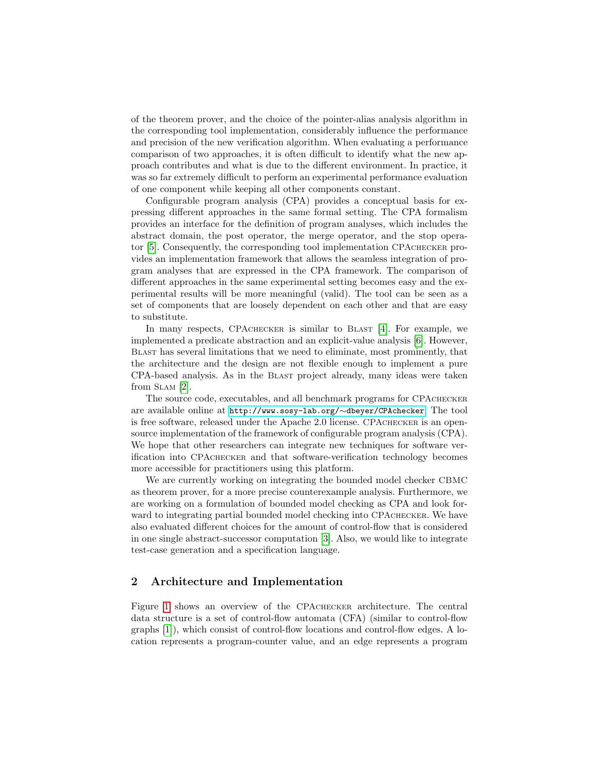of the theorem prover, and the choice of the pointer-alias analysis algorithm in the corresponding tool implementation, considerably influence the performance and precision of the new verification algorithm. When evaluating a performance comparison of two approaches, it is often difficult to identify what the new approach contributes and what is due to the different environment. In practice, it was so far extremely difficult to perform an experimental performance evaluation of one component while keeping all other components constant.

Configurable program analysis (CPA) provides a conceptual basis for expressing different approaches in the same formal setting. The CPA formalism provides an interface for the definition of program analyses, which includes the abstract domain, the post operator, the merge operator, and the stop operator [\[5\]](#page-0-0). Consequently, the corresponding tool implementation CPAchecker provides an implementation framework that allows the seamless integration of program analyses that are expressed in the CPA framework. The comparison of different approaches in the same experimental setting becomes easy and the experimental results will be more meaningful (valid). The tool can be seen as a set of components that are loosely dependent on each other and that are easy to substitute.

In many respects, CPACHECKER is similar to BLAST [\[4\]](#page-0-0). For example, we implemented a predicate abstraction and an explicit-value analysis [\[6\]](#page-0-0). However, Blast has several limitations that we need to eliminate, most prominently, that the architecture and the design are not flexible enough to implement a pure CPA-based analysis. As in the Blast project already, many ideas were taken from SLAM [\[2\]](#page-0-0).

The source code, executables, and all benchmark programs for CPAchecker are available online at [http://www.sosy-lab.org/](http://www.sosy-lab.org/~dbeyer/CPAchecker/)∼dbeyer/CPAchecker. The tool is free software, released under the Apache 2.0 license. CPAchecker is an opensource implementation of the framework of configurable program analysis (CPA). We hope that other researchers can integrate new techniques for software verification into CPAchecker and that software-verification technology becomes more accessible for practitioners using this platform.

We are currently working on integrating the bounded model checker CBMC as theorem prover, for a more precise counterexample analysis. Furthermore, we are working on a formulation of bounded model checking as CPA and look forward to integrating partial bounded model checking into CPACHECKER. We have also evaluated different choices for the amount of control-flow that is considered in one single abstract-successor computation [\[3\]](#page-0-0). Also, we would like to integrate test-case generation and a specification language.

### 2 Architecture and Implementation

Figure [1](#page-2-0) shows an overview of the CPAchecker architecture. The central data structure is a set of control-flow automata (CFA) (similar to control-flow graphs [\[1\]](#page-0-0)), which consist of control-flow locations and control-flow edges. A location represents a program-counter value, and an edge represents a program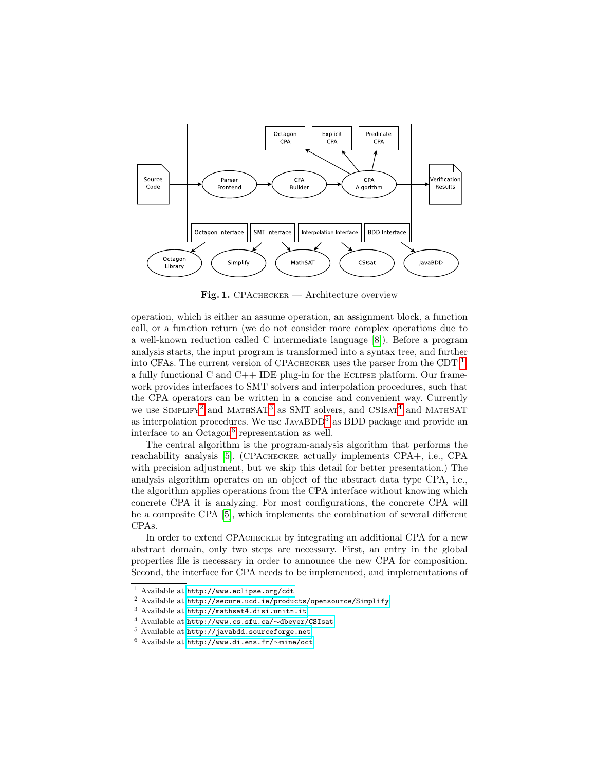

<span id="page-2-0"></span>Fig. 1. CPACHECKER — Architecture overview

operation, which is either an assume operation, an assignment block, a function call, or a function return (we do not consider more complex operations due to a well-known reduction called C intermediate language [\[8\]](#page-0-0)). Before a program analysis starts, the input program is transformed into a syntax tree, and further into CFAs. The current version of CPACHECKER uses the parser from the CDT  $<sup>1</sup>$  $<sup>1</sup>$  $<sup>1</sup>$ ,</sup> a fully functional C and  $C_{++}$  IDE plug-in for the ECLIPSE platform. Our framework provides interfaces to SMT solvers and interpolation procedures, such that the CPA operators can be written in a concise and convenient way. Currently we use SIMPLIFY<sup>[2](#page-2-2)</sup> and MATHSAT<sup>[3](#page-2-3)</sup> as SMT solvers, and CSISAT<sup>[4](#page-2-4)</sup> and MATHSAT as interpolation procedures. We use  $JAVABDD<sup>5</sup>$  $JAVABDD<sup>5</sup>$  $JAVABDD<sup>5</sup>$  as BDD package and provide an interface to an Octagon<sup>[6](#page-2-6)</sup> representation as well.

The central algorithm is the program-analysis algorithm that performs the reachability analysis [\[5\]](#page-0-0). (CPAchecker actually implements CPA+, i.e., CPA with precision adjustment, but we skip this detail for better presentation.) The analysis algorithm operates on an object of the abstract data type CPA, i.e., the algorithm applies operations from the CPA interface without knowing which concrete CPA it is analyzing. For most configurations, the concrete CPA will be a composite CPA [\[5\]](#page-0-0), which implements the combination of several different CPAs.

In order to extend CPAchecker by integrating an additional CPA for a new abstract domain, only two steps are necessary. First, an entry in the global properties file is necessary in order to announce the new CPA for composition. Second, the interface for CPA needs to be implemented, and implementations of

<span id="page-2-1"></span><sup>1</sup> Available at [http://www.eclipse.org/cdt](http://www.eclipse.org/cdt/)

<span id="page-2-2"></span><sup>2</sup> Available at [http://secure.ucd.ie/products/opensource/Simplify](http://secure.ucd.ie/products/opensource/Simplify/)

<span id="page-2-3"></span><sup>3</sup> Available at [http://mathsat4.disi.unitn.it](http://mathsat4.disi.unitn.it/)

<span id="page-2-4"></span><sup>4</sup> Available at [http://www.cs.sfu.ca/](http://www.cs.sfu.ca/~dbeyer/CSIsat/)∼dbeyer/CSIsat

<span id="page-2-5"></span><sup>5</sup> Available at [http://javabdd.sourceforge.net](http://javabdd.sourceforge.net/)

<span id="page-2-6"></span><sup>6</sup> Available at [http://www.di.ens.fr/](http://www.di.ens.fr/~mine/oct/)∼mine/oct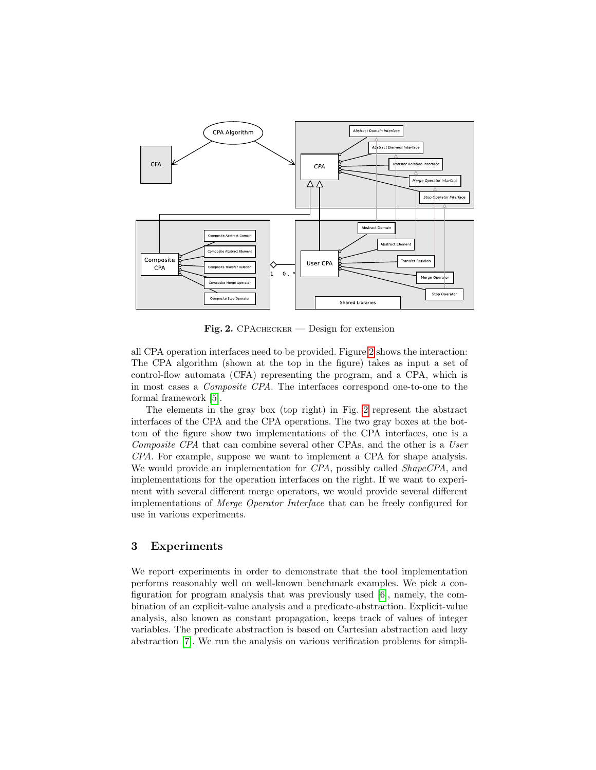

<span id="page-3-0"></span>Fig. 2. CPACHECKER — Design for extension

all CPA operation interfaces need to be provided. Figure [2](#page-3-0) shows the interaction: The CPA algorithm (shown at the top in the figure) takes as input a set of control-flow automata (CFA) representing the program, and a CPA, which is in most cases a Composite CPA. The interfaces correspond one-to-one to the formal framework [\[5\]](#page-0-0).

The elements in the gray box (top right) in Fig. [2](#page-3-0) represent the abstract interfaces of the CPA and the CPA operations. The two gray boxes at the bottom of the figure show two implementations of the CPA interfaces, one is a Composite CPA that can combine several other CPAs, and the other is a User CPA. For example, suppose we want to implement a CPA for shape analysis. We would provide an implementation for CPA, possibly called ShapeCPA, and implementations for the operation interfaces on the right. If we want to experiment with several different merge operators, we would provide several different implementations of Merge Operator Interface that can be freely configured for use in various experiments.

### 3 Experiments

We report experiments in order to demonstrate that the tool implementation performs reasonably well on well-known benchmark examples. We pick a configuration for program analysis that was previously used [\[6\]](#page-0-0), namely, the combination of an explicit-value analysis and a predicate-abstraction. Explicit-value analysis, also known as constant propagation, keeps track of values of integer variables. The predicate abstraction is based on Cartesian abstraction and lazy abstraction [\[7\]](#page-0-0). We run the analysis on various verification problems for simpli-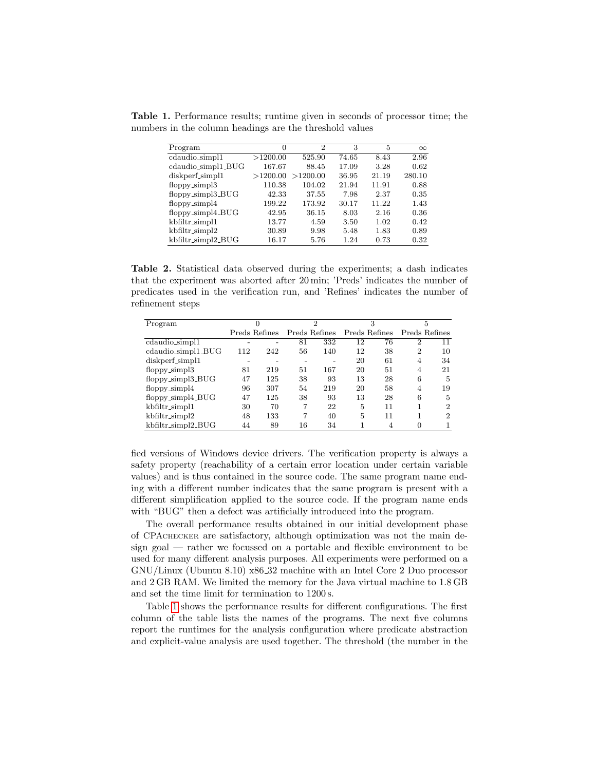Table 1. Performance results; runtime given in seconds of processor time; the numbers in the column headings are the threshold values

<span id="page-4-0"></span>

| Program                           | $\Omega$ | $\overline{2}$ | 3     | 5     | $\infty$ |
|-----------------------------------|----------|----------------|-------|-------|----------|
| cdaudio_simpl1                    | >1200.00 | 525.90         | 74.65 | 8.43  | 2.96     |
| cdaudio_simpl1_BUG                | 167.67   | 88.45          | 17.09 | 3.28  | 0.62     |
| diskperf_simpl1                   | >1200.00 | >1200.00       | 36.95 | 21.19 | 280.10   |
| $f_{\text{doppv\_simpl}}$         | 110.38   | 104.02         | 21.94 | 11.91 | 0.88     |
| $flopay\text{-}simpl3\text{-}BUG$ | 42.33    | 37.55          | 7.98  | 2.37  | 0.35     |
| $f_{\text{doppy}\_\text{simpl}4}$ | 199.22   | 173.92         | 30.17 | 11.22 | 1.43     |
| $floppy\text{-}simpl4\text{-}BUG$ | 42.95    | 36.15          | 8.03  | 2.16  | 0.36     |
| kbfiltr_simpl1                    | 13.77    | 4.59           | 3.50  | 1.02  | 0.42     |
| $k$ bfiltr_simpl2                 | 30.89    | 9.98           | 5.48  | 1.83  | 0.89     |
| kbfiltr_simpl2_BUG                | 16.17    | 5.76           | 1.24  | 0.73  | 0.32     |

<span id="page-4-1"></span>Table 2. Statistical data observed during the experiments; a dash indicates that the experiment was aborted after 20 min; 'Preds' indicates the number of predicates used in the verification run, and 'Refines' indicates the number of refinement steps

| Program                              |     |               | $\overline{2}$ |                          | 3  |               | 5              |                |
|--------------------------------------|-----|---------------|----------------|--------------------------|----|---------------|----------------|----------------|
|                                      |     | Preds Refines |                | Preds Refines            |    | Preds Refines |                | Preds Refines  |
| cdaudio_simpl1                       |     | -             | 81             | 332                      | 12 | 76            | $\overline{2}$ | 11             |
| cdaudio_simpl1_BUG                   | 112 | 242           | 56             | 140                      | 12 | 38            | $\overline{2}$ | 10             |
| diskperf_simpl1                      |     |               |                | $\overline{\phantom{a}}$ | 20 | 61            | 4              | 34             |
| $f_{\text{doppy} \_ \text{simpl} 3}$ | 81  | 219           | 51             | 167                      | 20 | 51            | 4              | 21             |
| $flopay\text{-}simpl3\text{-}BUG$    | 47  | 125           | 38             | 93                       | 13 | 28            | 6              | 5              |
| $f_{\text{doppy}\_\text{simpl}4}$    | 96  | 307           | 54             | 219                      | 20 | 58            | 4              | 19             |
| $flopay\text{-}simpl4\_BUG$          | 47  | 125           | 38             | 93                       | 13 | 28            | 6              | 5              |
| kbfiltr_simpl1                       | 30  | 70            | 7              | 22                       | 5  | 11            |                | $\overline{2}$ |
| $k$ bfiltr_simpl2                    | 48  | 133           | 7              | 40                       | 5  | 11            |                | $\overline{2}$ |
| kbfiltr_simpl2_BUG                   | 44  | 89            | 16             | 34                       |    | 4             |                |                |

fied versions of Windows device drivers. The verification property is always a safety property (reachability of a certain error location under certain variable values) and is thus contained in the source code. The same program name ending with a different number indicates that the same program is present with a different simplification applied to the source code. If the program name ends with "BUG" then a defect was artificially introduced into the program.

The overall performance results obtained in our initial development phase of CPAchecker are satisfactory, although optimization was not the main design goal — rather we focussed on a portable and flexible environment to be used for many different analysis purposes. All experiments were performed on a GNU/Linux (Ubuntu 8.10) x86 32 machine with an Intel Core 2 Duo processor and 2 GB RAM. We limited the memory for the Java virtual machine to 1.8 GB and set the time limit for termination to 1200 s.

Table [1](#page-4-0) shows the performance results for different configurations. The first column of the table lists the names of the programs. The next five columns report the runtimes for the analysis configuration where predicate abstraction and explicit-value analysis are used together. The threshold (the number in the